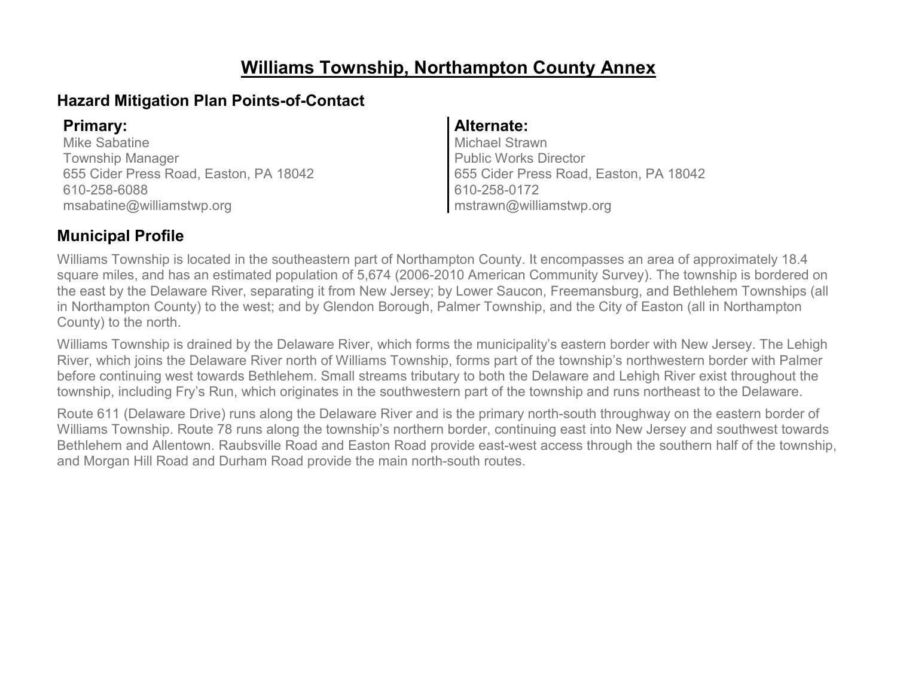# **Williams Township, Northampton County Annex**

### **Hazard Mitigation Plan Points-of-Contact**

Mike Sabatine Township Manager 655 Cider Press Road, Easton, PA 18042 610-258-6088 msabatine@williamstwp.org

### **Primary: Alternate:**

Michael Strawn Public Works Director 655 Cider Press Road, Easton, PA 18042 610-258-0172 mstrawn@williamstwp.org

### **Municipal Profile**

Williams Township is located in the southeastern part of Northampton County. It encompasses an area of approximately 18.4 square miles, and has an estimated population of 5,674 (2006-2010 American Community Survey). The township is bordered on the east by the Delaware River, separating it from New Jersey; by Lower Saucon, Freemansburg, and Bethlehem Townships (all in Northampton County) to the west; and by Glendon Borough, Palmer Township, and the City of Easton (all in Northampton County) to the north.

Williams Township is drained by the Delaware River, which forms the municipality's eastern border with New Jersey. The Lehigh River, which joins the Delaware River north of Williams Township, forms part of the township's northwestern border with Palmer before continuing west towards Bethlehem. Small streams tributary to both the Delaware and Lehigh River exist throughout the township, including Fry's Run, which originates in the southwestern part of the township and runs northeast to the Delaware.

Route 611 (Delaware Drive) runs along the Delaware River and is the primary north-south throughway on the eastern border of Williams Township. Route 78 runs along the township's northern border, continuing east into New Jersey and southwest towards Bethlehem and Allentown. Raubsville Road and Easton Road provide east-west access through the southern half of the township, and Morgan Hill Road and Durham Road provide the main north-south routes.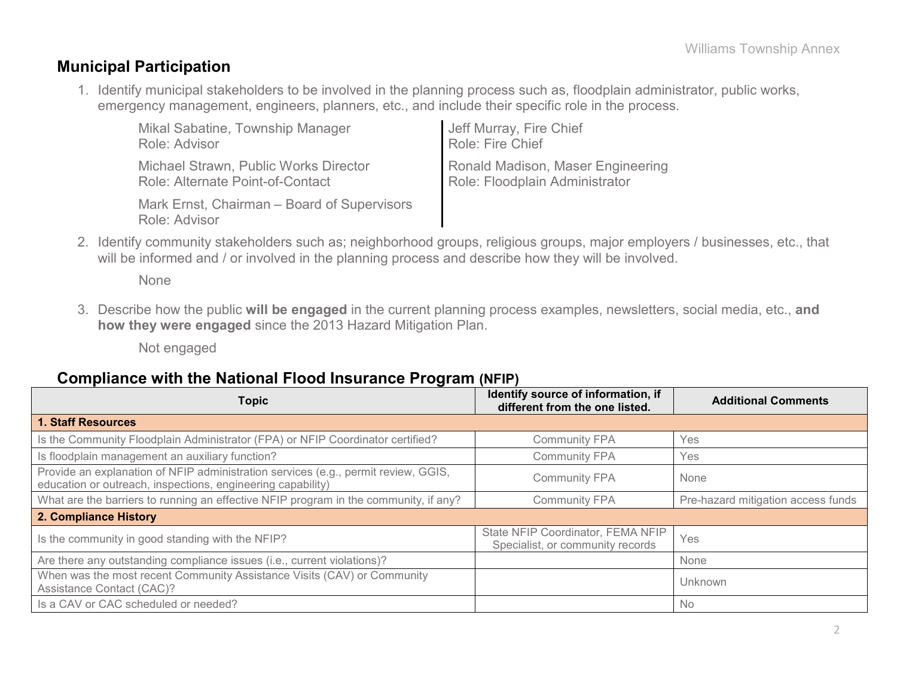### **Municipal Participation**

1. Identify municipal stakeholders to be involved in the planning process such as, floodplain administrator, public works, emergency management, engineers, planners, etc., and include their specific role in the process.

| Mikal Sabatine, Township Manager                             | Jeff Murray, Fire Chief           |
|--------------------------------------------------------------|-----------------------------------|
| Role: Advisor                                                | Role: Fire Chief                  |
| Michael Strawn, Public Works Director                        | Ronald Madison, Maser Engineering |
| Role: Alternate Point-of-Contact                             | Role: Floodplain Administrator    |
| Mark Ernst, Chairman – Board of Supervisors<br>Role: Advisor |                                   |

2. Identify community stakeholders such as; neighborhood groups, religious groups, major employers / businesses, etc., that will be informed and / or involved in the planning process and describe how they will be involved.

None

3. Describe how the public **will be engaged** in the current planning process examples, newsletters, social media, etc., **and how they were engaged** since the 2013 Hazard Mitigation Plan.

Not engaged

### **Compliance with the National Flood Insurance Program (NFIP)**

| Topic                                                                                                                                             | Identify source of information, if<br>different from the one listed.  | <b>Additional Comments</b>         |
|---------------------------------------------------------------------------------------------------------------------------------------------------|-----------------------------------------------------------------------|------------------------------------|
| <b>1. Staff Resources</b>                                                                                                                         |                                                                       |                                    |
| Is the Community Floodplain Administrator (FPA) or NFIP Coordinator certified?                                                                    | <b>Community FPA</b>                                                  | Yes                                |
| Is floodplain management an auxiliary function?                                                                                                   | <b>Community FPA</b>                                                  | Yes                                |
| Provide an explanation of NFIP administration services (e.g., permit review, GGIS,<br>education or outreach, inspections, engineering capability) | <b>Community FPA</b>                                                  | None                               |
| What are the barriers to running an effective NFIP program in the community, if any?                                                              | <b>Community FPA</b>                                                  | Pre-hazard mitigation access funds |
| 2. Compliance History                                                                                                                             |                                                                       |                                    |
| Is the community in good standing with the NFIP?                                                                                                  | State NFIP Coordinator, FEMA NFIP<br>Specialist, or community records | Yes                                |
| Are there any outstanding compliance issues (i.e., current violations)?                                                                           |                                                                       | None                               |
| When was the most recent Community Assistance Visits (CAV) or Community<br>Assistance Contact (CAC)?                                              |                                                                       | Unknown                            |
| Is a CAV or CAC scheduled or needed?                                                                                                              |                                                                       | <b>No</b>                          |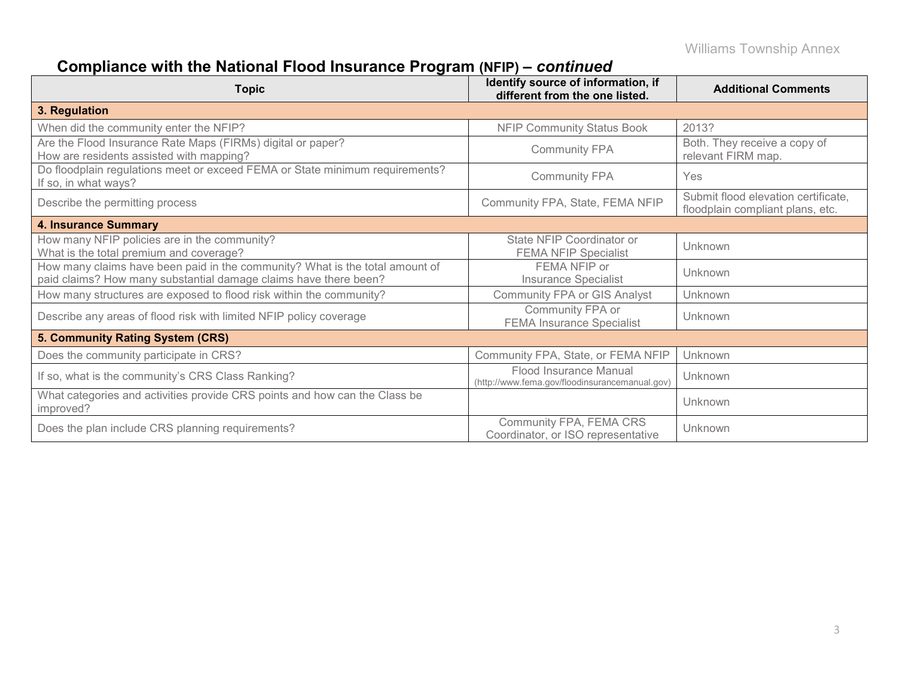# **Compliance with the National Flood Insurance Program (NFIP) –** *continued*

| <b>Topic</b>                                                                                                                                     | Identify source of information, if<br>different from the one listed.     | <b>Additional Comments</b>                                              |
|--------------------------------------------------------------------------------------------------------------------------------------------------|--------------------------------------------------------------------------|-------------------------------------------------------------------------|
| 3. Regulation                                                                                                                                    |                                                                          |                                                                         |
| When did the community enter the NFIP?                                                                                                           | <b>NFIP Community Status Book</b>                                        | 2013?                                                                   |
| Are the Flood Insurance Rate Maps (FIRMs) digital or paper?<br>How are residents assisted with mapping?                                          | <b>Community FPA</b>                                                     | Both. They receive a copy of<br>relevant FIRM map.                      |
| Do floodplain regulations meet or exceed FEMA or State minimum requirements?<br>If so, in what ways?                                             | <b>Community FPA</b>                                                     | Yes                                                                     |
| Describe the permitting process                                                                                                                  | Community FPA, State, FEMA NFIP                                          | Submit flood elevation certificate,<br>floodplain compliant plans, etc. |
| <b>4. Insurance Summary</b>                                                                                                                      |                                                                          |                                                                         |
| How many NFIP policies are in the community?<br>What is the total premium and coverage?                                                          | State NFIP Coordinator or<br><b>FEMA NFIP Specialist</b>                 | Unknown                                                                 |
| How many claims have been paid in the community? What is the total amount of<br>paid claims? How many substantial damage claims have there been? | FEMA NFIP or<br>Insurance Specialist                                     | Unknown                                                                 |
| How many structures are exposed to flood risk within the community?                                                                              | <b>Community FPA or GIS Analyst</b>                                      | Unknown                                                                 |
| Describe any areas of flood risk with limited NFIP policy coverage                                                                               | Community FPA or<br><b>FEMA Insurance Specialist</b>                     | Unknown                                                                 |
| 5. Community Rating System (CRS)                                                                                                                 |                                                                          |                                                                         |
| Does the community participate in CRS?                                                                                                           | Community FPA, State, or FEMA NFIP                                       | Unknown                                                                 |
| If so, what is the community's CRS Class Ranking?                                                                                                | Flood Insurance Manual<br>(http://www.fema.gov/floodinsurancemanual.gov) | Unknown                                                                 |
| What categories and activities provide CRS points and how can the Class be<br>improved?                                                          |                                                                          | Unknown                                                                 |
| Does the plan include CRS planning requirements?                                                                                                 | Community FPA, FEMA CRS<br>Coordinator, or ISO representative            | Unknown                                                                 |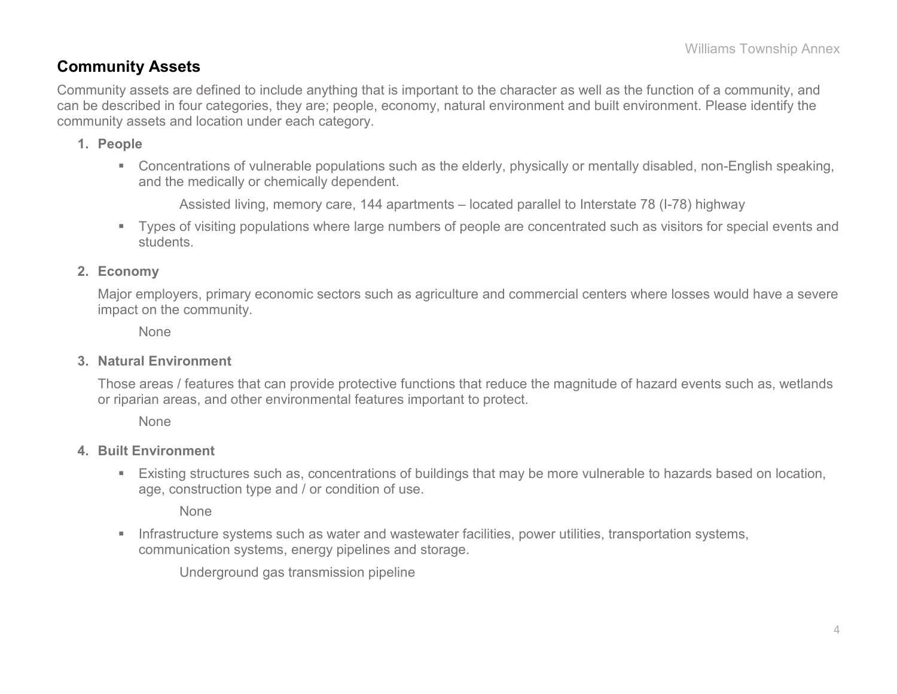### **Community Assets**

Community assets are defined to include anything that is important to the character as well as the function of a community, and can be described in four categories, they are; people, economy, natural environment and built environment. Please identify the community assets and location under each category.

- **1. People**
	- Concentrations of vulnerable populations such as the elderly, physically or mentally disabled, non-English speaking, and the medically or chemically dependent.

Assisted living, memory care, 144 apartments – located parallel to Interstate 78 (I-78) highway

 Types of visiting populations where large numbers of people are concentrated such as visitors for special events and students.

#### **2. Economy**

Major employers, primary economic sectors such as agriculture and commercial centers where losses would have a severe impact on the community.

None

#### **3. Natural Environment**

Those areas / features that can provide protective functions that reduce the magnitude of hazard events such as, wetlands or riparian areas, and other environmental features important to protect.

None

#### **4. Built Environment**

 Existing structures such as, concentrations of buildings that may be more vulnerable to hazards based on location, age, construction type and / or condition of use.

None

**Infrastructure systems such as water and wastewater facilities, power utilities, transportation systems,** communication systems, energy pipelines and storage.

Underground gas transmission pipeline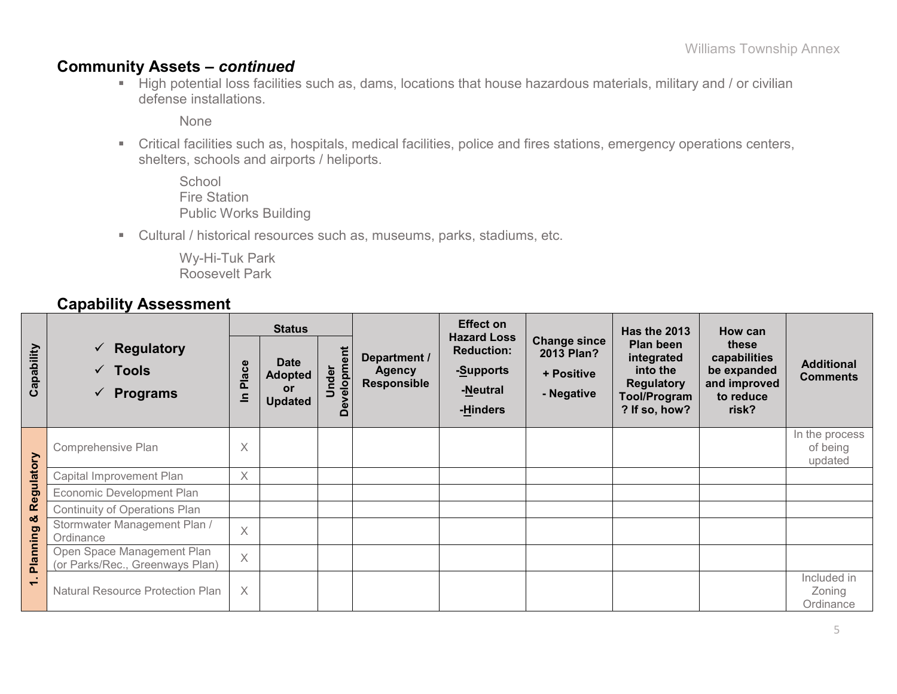### **Community Assets –** *continued*

High potential loss facilities such as, dams, locations that house hazardous materials, military and / or civilian defense installations.

None

- Critical facilities such as, hospitals, medical facilities, police and fires stations, emergency operations centers, shelters, schools and airports / heliports.
	- **School** Fire Station Public Works Building
- Cultural / historical resources such as, museums, parks, stadiums, etc.

Wy-Hi-Tuk Park Roosevelt Park

### **Capability Assessment**

|            |                                                                        | <b>Status</b>         |                                                       |                                                   |                                                     | <b>Effect on</b>                                                             |                                                               | Has the 2013                                                                                     | How can                                                                    |                                       |  |
|------------|------------------------------------------------------------------------|-----------------------|-------------------------------------------------------|---------------------------------------------------|-----------------------------------------------------|------------------------------------------------------------------------------|---------------------------------------------------------------|--------------------------------------------------------------------------------------------------|----------------------------------------------------------------------------|---------------------------------------|--|
| Capability | $\checkmark$ Regulatory<br>$\checkmark$ Tools<br>$\checkmark$ Programs | lace<br>$\Omega$<br>드 | <b>Date</b><br><b>Adopted</b><br>or<br><b>Updated</b> | $\boldsymbol{\omega}$<br>elopm<br>Under<br>ω<br>۵ | Department /<br><b>Agency</b><br><b>Responsible</b> | <b>Hazard Loss</b><br><b>Reduction:</b><br>-Supports<br>-Neutral<br>-Hinders | <b>Change since</b><br>2013 Plan?<br>+ Positive<br>- Negative | Plan been<br>integrated<br>into the<br><b>Regulatory</b><br><b>Tool/Program</b><br>? If so, how? | these<br>capabilities<br>be expanded<br>and improved<br>to reduce<br>risk? | <b>Additional</b><br><b>Comments</b>  |  |
|            | Comprehensive Plan                                                     | X                     |                                                       |                                                   |                                                     |                                                                              |                                                               |                                                                                                  |                                                                            | In the process<br>of being<br>updated |  |
| Regulatory | Capital Improvement Plan                                               | $\times$              |                                                       |                                                   |                                                     |                                                                              |                                                               |                                                                                                  |                                                                            |                                       |  |
|            | Economic Development Plan                                              |                       |                                                       |                                                   |                                                     |                                                                              |                                                               |                                                                                                  |                                                                            |                                       |  |
|            | <b>Continuity of Operations Plan</b>                                   |                       |                                                       |                                                   |                                                     |                                                                              |                                                               |                                                                                                  |                                                                            |                                       |  |
| ಯ          | Stormwater Management Plan /<br>Ordinance                              | X                     |                                                       |                                                   |                                                     |                                                                              |                                                               |                                                                                                  |                                                                            |                                       |  |
| Planning   | Open Space Management Plan<br>(or Parks/Rec., Greenways Plan)          | $\times$              |                                                       |                                                   |                                                     |                                                                              |                                                               |                                                                                                  |                                                                            |                                       |  |
| $\div$     | <b>Natural Resource Protection Plan</b>                                | X                     |                                                       |                                                   |                                                     |                                                                              |                                                               |                                                                                                  |                                                                            | Included in<br>Zoning<br>Ordinance    |  |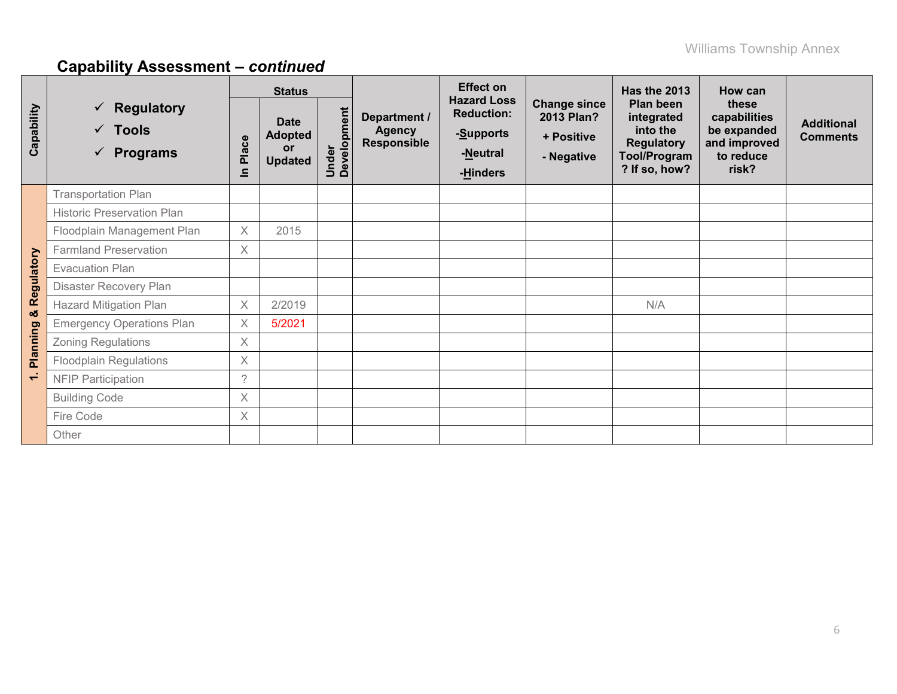# **Capability Assessment –** *continued*

|                |                                                                                                 | <b>Status</b> |                                                              |                      |                                                     | <b>Effect on</b>                                                             |                                                               | <b>Has the 2013</b>                                                                              | How can                                                                    |                                      |
|----------------|-------------------------------------------------------------------------------------------------|---------------|--------------------------------------------------------------|----------------------|-----------------------------------------------------|------------------------------------------------------------------------------|---------------------------------------------------------------|--------------------------------------------------------------------------------------------------|----------------------------------------------------------------------------|--------------------------------------|
| Capability     | $\checkmark$ Regulatory<br>$\checkmark$ Tools<br>Place<br>$\checkmark$ Programs<br>$\mathbf{a}$ |               | <b>Date</b><br><b>Adopted</b><br><b>or</b><br><b>Updated</b> | Under<br>Development | Department /<br><b>Agency</b><br><b>Responsible</b> | <b>Hazard Loss</b><br><b>Reduction:</b><br>-Supports<br>-Neutral<br>-Hinders | <b>Change since</b><br>2013 Plan?<br>+ Positive<br>- Negative | Plan been<br>integrated<br>into the<br><b>Regulatory</b><br><b>Tool/Program</b><br>? If so, how? | these<br>capabilities<br>be expanded<br>and improved<br>to reduce<br>risk? | <b>Additional</b><br><b>Comments</b> |
|                | <b>Transportation Plan</b>                                                                      |               |                                                              |                      |                                                     |                                                                              |                                                               |                                                                                                  |                                                                            |                                      |
|                | <b>Historic Preservation Plan</b>                                                               |               |                                                              |                      |                                                     |                                                                              |                                                               |                                                                                                  |                                                                            |                                      |
|                | Floodplain Management Plan                                                                      | $\times$      | 2015                                                         |                      |                                                     |                                                                              |                                                               |                                                                                                  |                                                                            |                                      |
|                | <b>Farmland Preservation</b>                                                                    | $\times$      |                                                              |                      |                                                     |                                                                              |                                                               |                                                                                                  |                                                                            |                                      |
|                | <b>Evacuation Plan</b>                                                                          |               |                                                              |                      |                                                     |                                                                              |                                                               |                                                                                                  |                                                                            |                                      |
| Regulatory     | Disaster Recovery Plan                                                                          |               |                                                              |                      |                                                     |                                                                              |                                                               |                                                                                                  |                                                                            |                                      |
| <b>o</b>       | <b>Hazard Mitigation Plan</b>                                                                   | $\times$      | 2/2019                                                       |                      |                                                     |                                                                              |                                                               | N/A                                                                                              |                                                                            |                                      |
|                | <b>Emergency Operations Plan</b>                                                                | $\times$      | 5/2021                                                       |                      |                                                     |                                                                              |                                                               |                                                                                                  |                                                                            |                                      |
| Planning       | <b>Zoning Regulations</b>                                                                       | $\times$      |                                                              |                      |                                                     |                                                                              |                                                               |                                                                                                  |                                                                            |                                      |
|                | Floodplain Regulations                                                                          | $\times$      |                                                              |                      |                                                     |                                                                              |                                                               |                                                                                                  |                                                                            |                                      |
| $\overline{ }$ | <b>NFIP Participation</b>                                                                       | $\mathcal{P}$ |                                                              |                      |                                                     |                                                                              |                                                               |                                                                                                  |                                                                            |                                      |
|                | <b>Building Code</b>                                                                            | $\times$      |                                                              |                      |                                                     |                                                                              |                                                               |                                                                                                  |                                                                            |                                      |
|                | Fire Code                                                                                       | $\times$      |                                                              |                      |                                                     |                                                                              |                                                               |                                                                                                  |                                                                            |                                      |
|                | Other                                                                                           |               |                                                              |                      |                                                     |                                                                              |                                                               |                                                                                                  |                                                                            |                                      |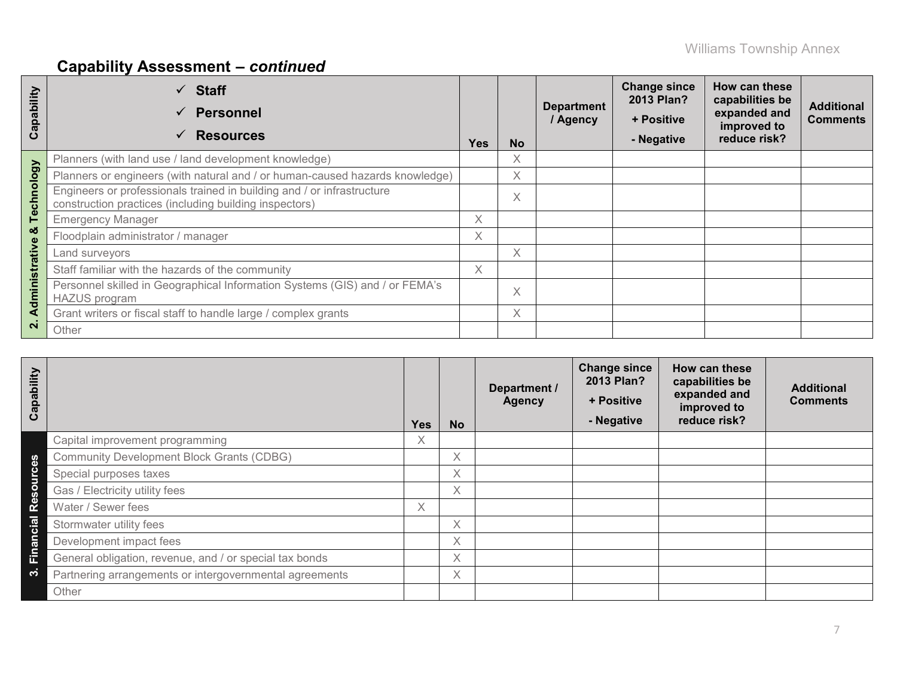# **Capability Assessment –** *continued*

| Capability     | $\checkmark$ Staff<br><b>Personnel</b><br>$\checkmark$<br><b>Resources</b><br>$\checkmark$                                       | <b>Yes</b> | <b>No</b> | <b>Department</b><br>/ Agency | <b>Change since</b><br>2013 Plan?<br>+ Positive<br>- Negative | How can these<br>capabilities be<br>expanded and<br>improved to<br>reduce risk? | <b>Additional</b><br><b>Comments</b> |
|----------------|----------------------------------------------------------------------------------------------------------------------------------|------------|-----------|-------------------------------|---------------------------------------------------------------|---------------------------------------------------------------------------------|--------------------------------------|
| $\tilde{g}$    | Planners (with land use / land development knowledge)                                                                            |            | X         |                               |                                                               |                                                                                 |                                      |
|                | Planners or engineers (with natural and / or human-caused hazards knowledge)                                                     |            | Χ         |                               |                                                               |                                                                                 |                                      |
| Technolo       | Engineers or professionals trained in building and / or infrastructure<br>construction practices (including building inspectors) |            | Χ         |                               |                                                               |                                                                                 |                                      |
|                | <b>Emergency Manager</b>                                                                                                         | X.         |           |                               |                                                               |                                                                                 |                                      |
| ಯ              | Floodplain administrator / manager                                                                                               | X.         |           |                               |                                                               |                                                                                 |                                      |
|                | Land surveyors                                                                                                                   |            | X         |                               |                                                               |                                                                                 |                                      |
|                | Staff familiar with the hazards of the community                                                                                 | X.         |           |                               |                                                               |                                                                                 |                                      |
| Administrative | Personnel skilled in Geographical Information Systems (GIS) and / or FEMA's<br><b>HAZUS</b> program                              |            | X         |                               |                                                               |                                                                                 |                                      |
|                | Grant writers or fiscal staff to handle large / complex grants                                                                   |            | X         |                               |                                                               |                                                                                 |                                      |
| $\overline{N}$ | Other                                                                                                                            |            |           |                               |                                                               |                                                                                 |                                      |

| Capability |                                                         | <b>Yes</b> | <b>No</b> | Department /<br><b>Agency</b> | <b>Change since</b><br>2013 Plan?<br>+ Positive<br>- Negative | How can these<br>capabilities be<br>expanded and<br>improved to<br>reduce risk? | <b>Additional</b><br><b>Comments</b> |
|------------|---------------------------------------------------------|------------|-----------|-------------------------------|---------------------------------------------------------------|---------------------------------------------------------------------------------|--------------------------------------|
|            | Capital improvement programming                         | Χ          |           |                               |                                                               |                                                                                 |                                      |
|            | <b>Community Development Block Grants (CDBG)</b>        |            | X         |                               |                                                               |                                                                                 |                                      |
|            | Special purposes taxes                                  |            | X         |                               |                                                               |                                                                                 |                                      |
| Resourc    | Gas / Electricity utility fees                          |            | X         |                               |                                                               |                                                                                 |                                      |
|            | Water / Sewer fees                                      | X          |           |                               |                                                               |                                                                                 |                                      |
|            | Stormwater utility fees                                 |            | X         |                               |                                                               |                                                                                 |                                      |
| Financial  | Development impact fees                                 |            | X         |                               |                                                               |                                                                                 |                                      |
|            | General obligation, revenue, and / or special tax bonds |            | X         |                               |                                                               |                                                                                 |                                      |
| က          | Partnering arrangements or intergovernmental agreements |            | X         |                               |                                                               |                                                                                 |                                      |
|            | Other                                                   |            |           |                               |                                                               |                                                                                 |                                      |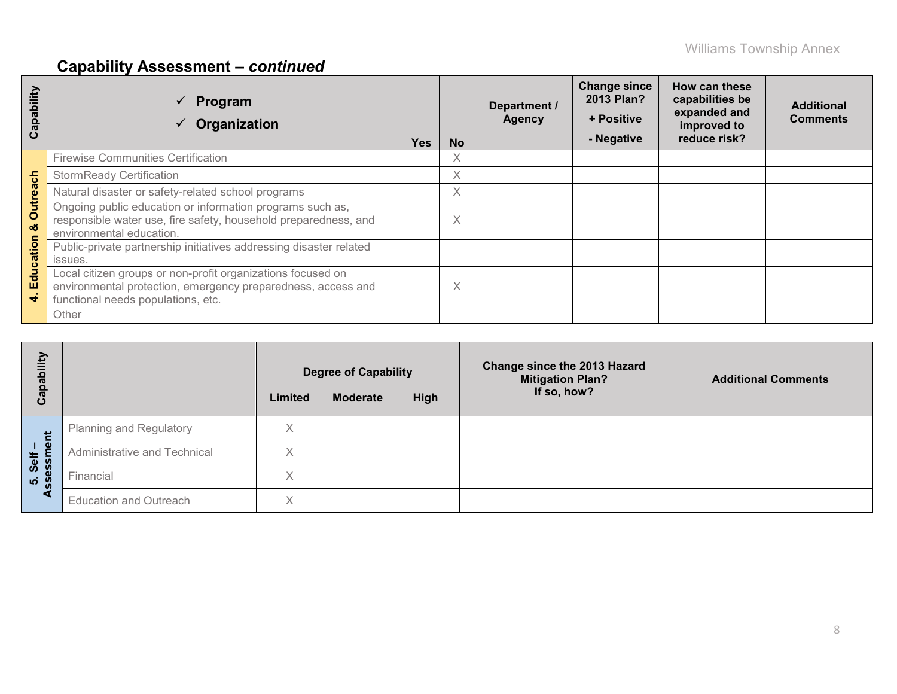# **Capability Assessment –** *continued*

| qpability<br>ပ       | Program<br>Organization                                                                                                                                           | Yes | <b>No</b> | Department /<br><b>Agency</b> | <b>Change since</b><br>2013 Plan?<br>+ Positive<br>- Negative | How can these<br>capabilities be<br>expanded and<br>improved to<br>reduce risk? | <b>Additional</b><br><b>Comments</b> |
|----------------------|-------------------------------------------------------------------------------------------------------------------------------------------------------------------|-----|-----------|-------------------------------|---------------------------------------------------------------|---------------------------------------------------------------------------------|--------------------------------------|
|                      | <b>Firewise Communities Certification</b>                                                                                                                         |     | X         |                               |                                                               |                                                                                 |                                      |
|                      | <b>StormReady Certification</b>                                                                                                                                   |     | X         |                               |                                                               |                                                                                 |                                      |
|                      | Natural disaster or safety-related school programs                                                                                                                |     | X         |                               |                                                               |                                                                                 |                                      |
| <b>Outreach</b><br>ಜ | Ongoing public education or information programs such as,<br>responsible water use, fire safety, household preparedness, and<br>environmental education.          |     | Χ         |                               |                                                               |                                                                                 |                                      |
| ducation             | Public-private partnership initiatives addressing disaster related                                                                                                |     |           |                               |                                                               |                                                                                 |                                      |
|                      | issues.                                                                                                                                                           |     |           |                               |                                                               |                                                                                 |                                      |
| ш<br>÷               | Local citizen groups or non-profit organizations focused on<br>environmental protection, emergency preparedness, access and<br>functional needs populations, etc. |     | Χ         |                               |                                                               |                                                                                 |                                      |
|                      | Other                                                                                                                                                             |     |           |                               |                                                               |                                                                                 |                                      |

| Capability       |                                |         | <b>Degree of Capability</b> |             | <b>Change since the 2013 Hazard</b><br><b>Mitigation Plan?</b> | <b>Additional Comments</b> |
|------------------|--------------------------------|---------|-----------------------------|-------------|----------------------------------------------------------------|----------------------------|
|                  |                                | Limited | <b>Moderate</b>             | <b>High</b> | If so, how?                                                    |                            |
| だ                | <b>Planning and Regulatory</b> |         |                             |             |                                                                |                            |
| ் உ<br>Self      | Administrative and Technical   | X       |                             |             |                                                                |                            |
| ess<br><b>LO</b> | Financial                      | X       |                             |             |                                                                |                            |
| æτ               | <b>Education and Outreach</b>  | Χ       |                             |             |                                                                |                            |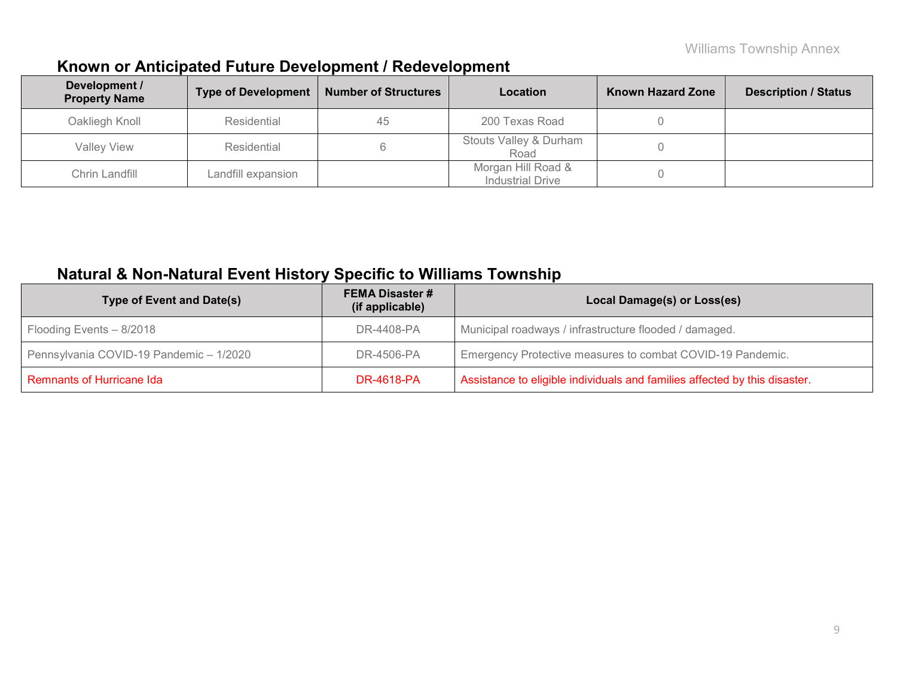# **Known or Anticipated Future Development / Redevelopment**

| Development /<br><b>Property Name</b> | <b>Type of Development</b> | <b>Number of Structures</b> | <b>Location</b>                               | <b>Known Hazard Zone</b> | <b>Description / Status</b> |
|---------------------------------------|----------------------------|-----------------------------|-----------------------------------------------|--------------------------|-----------------------------|
| Oakliegh Knoll                        | Residential                | 45                          | 200 Texas Road                                |                          |                             |
| <b>Valley View</b>                    | Residential                |                             | Stouts Valley & Durham<br>Road                |                          |                             |
| Chrin Landfill                        | Landfill expansion         |                             | Morgan Hill Road &<br><b>Industrial Drive</b> |                          |                             |

## **Natural & Non-Natural Event History Specific to Williams Township**

| <b>Type of Event and Date(s)</b>        | <b>FEMA Disaster #</b><br>(if applicable) | Local Damage(s) or Loss(es)                                                |
|-----------------------------------------|-------------------------------------------|----------------------------------------------------------------------------|
| Flooding Events - 8/2018                | DR-4408-PA                                | Municipal roadways / infrastructure flooded / damaged.                     |
| Pennsylvania COVID-19 Pandemic - 1/2020 | DR-4506-PA                                | Emergency Protective measures to combat COVID-19 Pandemic.                 |
| <b>Remnants of Hurricane Ida</b>        | <b>DR-4618-PA</b>                         | Assistance to eligible individuals and families affected by this disaster. |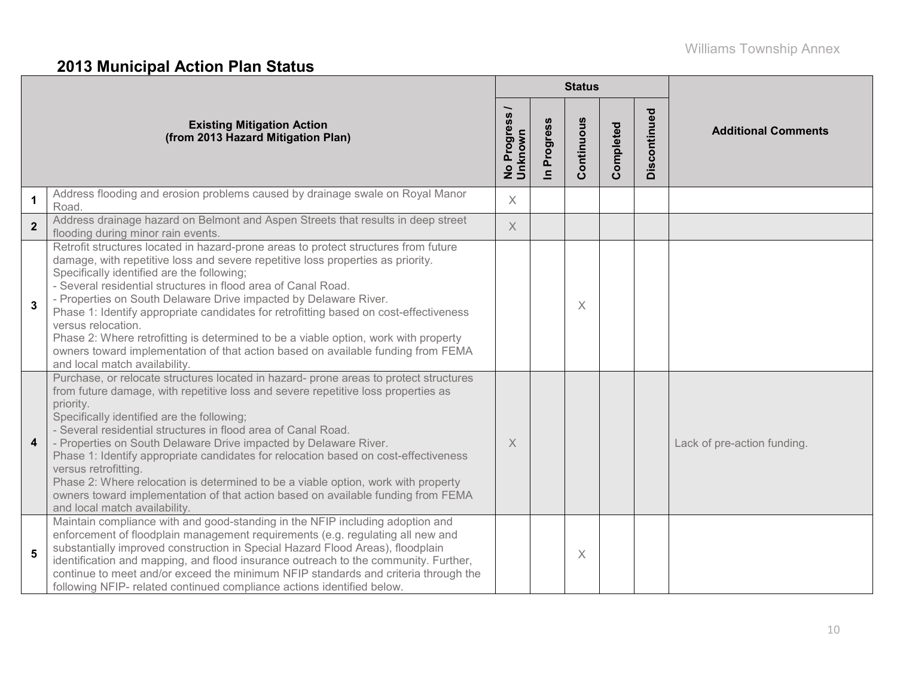# **2013 Municipal Action Plan Status**

|                |                                                                                                                                                                                                                                                                                                                                                                                                                                                                                                                                                                                                                                                                                                     |                                     |                          | <b>Status</b> |           |                         |                             |  |
|----------------|-----------------------------------------------------------------------------------------------------------------------------------------------------------------------------------------------------------------------------------------------------------------------------------------------------------------------------------------------------------------------------------------------------------------------------------------------------------------------------------------------------------------------------------------------------------------------------------------------------------------------------------------------------------------------------------------------------|-------------------------------------|--------------------------|---------------|-----------|-------------------------|-----------------------------|--|
|                | <b>Existing Mitigation Action</b><br>(from 2013 Hazard Mitigation Plan)                                                                                                                                                                                                                                                                                                                                                                                                                                                                                                                                                                                                                             | No Progress <sub>/</sub><br>Unknown | Progress<br>$\mathbf{a}$ | Continuous    | Completed | <b>ag</b><br>Discontinu | <b>Additional Comments</b>  |  |
| $\mathbf 1$    | Address flooding and erosion problems caused by drainage swale on Royal Manor<br>Road.                                                                                                                                                                                                                                                                                                                                                                                                                                                                                                                                                                                                              | $\times$                            |                          |               |           |                         |                             |  |
| $\overline{2}$ | Address drainage hazard on Belmont and Aspen Streets that results in deep street<br>flooding during minor rain events.                                                                                                                                                                                                                                                                                                                                                                                                                                                                                                                                                                              | $\times$                            |                          |               |           |                         |                             |  |
| 3              | Retrofit structures located in hazard-prone areas to protect structures from future<br>damage, with repetitive loss and severe repetitive loss properties as priority.<br>Specifically identified are the following;<br>- Several residential structures in flood area of Canal Road.<br>- Properties on South Delaware Drive impacted by Delaware River.<br>Phase 1: Identify appropriate candidates for retrofitting based on cost-effectiveness<br>versus relocation.<br>Phase 2: Where retrofitting is determined to be a viable option, work with property<br>owners toward implementation of that action based on available funding from FEMA<br>and local match availability.                |                                     |                          | X             |           |                         |                             |  |
| 4              | Purchase, or relocate structures located in hazard- prone areas to protect structures<br>from future damage, with repetitive loss and severe repetitive loss properties as<br>priority.<br>Specifically identified are the following;<br>- Several residential structures in flood area of Canal Road.<br>- Properties on South Delaware Drive impacted by Delaware River.<br>Phase 1: Identify appropriate candidates for relocation based on cost-effectiveness<br>versus retrofitting.<br>Phase 2: Where relocation is determined to be a viable option, work with property<br>owners toward implementation of that action based on available funding from FEMA<br>and local match availability. | $\times$                            |                          |               |           |                         | Lack of pre-action funding. |  |
| 5              | Maintain compliance with and good-standing in the NFIP including adoption and<br>enforcement of floodplain management requirements (e.g. regulating all new and<br>substantially improved construction in Special Hazard Flood Areas), floodplain<br>identification and mapping, and flood insurance outreach to the community. Further,<br>continue to meet and/or exceed the minimum NFIP standards and criteria through the<br>following NFIP- related continued compliance actions identified below.                                                                                                                                                                                            |                                     |                          | X             |           |                         |                             |  |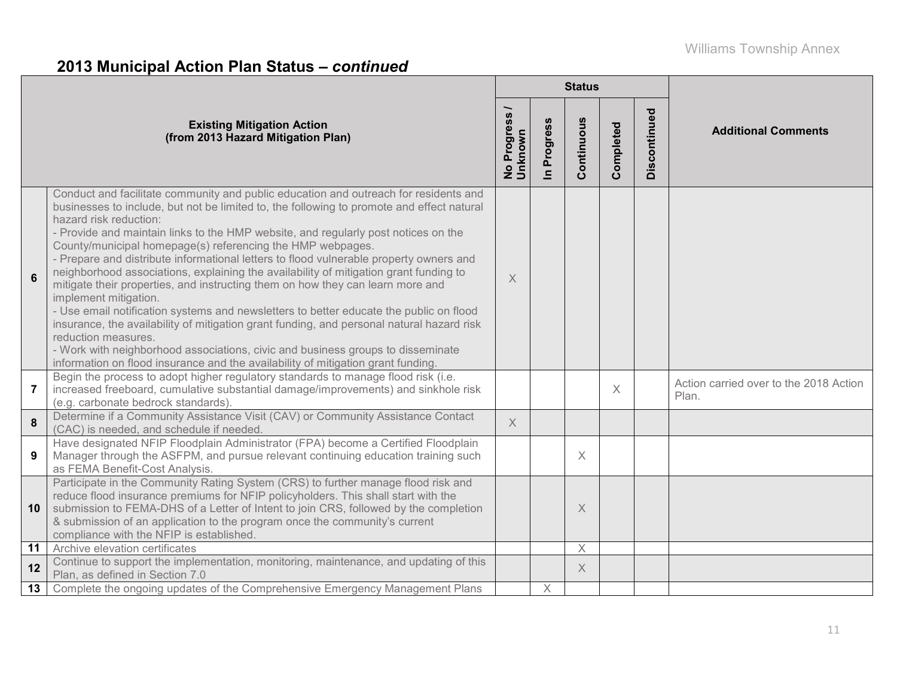# **2013 Municipal Action Plan Status –** *continued*

|          |                                                                                                                                                                                                                                                                                                                                                                                                                                                                                                                                                                                                                                                                                                                                                                                                                                                                                                                                                                                                                                                    |                                  |                                | <b>Status</b> |           |              |                                                 |
|----------|----------------------------------------------------------------------------------------------------------------------------------------------------------------------------------------------------------------------------------------------------------------------------------------------------------------------------------------------------------------------------------------------------------------------------------------------------------------------------------------------------------------------------------------------------------------------------------------------------------------------------------------------------------------------------------------------------------------------------------------------------------------------------------------------------------------------------------------------------------------------------------------------------------------------------------------------------------------------------------------------------------------------------------------------------|----------------------------------|--------------------------------|---------------|-----------|--------------|-------------------------------------------------|
|          | <b>Existing Mitigation Action</b><br>(from 2013 Hazard Mitigation Plan)                                                                                                                                                                                                                                                                                                                                                                                                                                                                                                                                                                                                                                                                                                                                                                                                                                                                                                                                                                            | Progress<br>No Progre<br>Unknown | Progress<br>$\boldsymbol{\Xi}$ | Continuous    | Completed | Discontinued | <b>Additional Comments</b>                      |
| 6        | Conduct and facilitate community and public education and outreach for residents and<br>businesses to include, but not be limited to, the following to promote and effect natural<br>hazard risk reduction:<br>- Provide and maintain links to the HMP website, and regularly post notices on the<br>County/municipal homepage(s) referencing the HMP webpages.<br>- Prepare and distribute informational letters to flood vulnerable property owners and<br>neighborhood associations, explaining the availability of mitigation grant funding to<br>mitigate their properties, and instructing them on how they can learn more and<br>implement mitigation.<br>- Use email notification systems and newsletters to better educate the public on flood<br>insurance, the availability of mitigation grant funding, and personal natural hazard risk<br>reduction measures.<br>- Work with neighborhood associations, civic and business groups to disseminate<br>information on flood insurance and the availability of mitigation grant funding. | $\times$                         |                                |               |           |              |                                                 |
| 7        | Begin the process to adopt higher regulatory standards to manage flood risk (i.e.<br>increased freeboard, cumulative substantial damage/improvements) and sinkhole risk<br>(e.g. carbonate bedrock standards).                                                                                                                                                                                                                                                                                                                                                                                                                                                                                                                                                                                                                                                                                                                                                                                                                                     |                                  |                                |               | $\times$  |              | Action carried over to the 2018 Action<br>Plan. |
| $\bf{8}$ | Determine if a Community Assistance Visit (CAV) or Community Assistance Contact<br>(CAC) is needed, and schedule if needed.                                                                                                                                                                                                                                                                                                                                                                                                                                                                                                                                                                                                                                                                                                                                                                                                                                                                                                                        | $\times$                         |                                |               |           |              |                                                 |
| 9        | Have designated NFIP Floodplain Administrator (FPA) become a Certified Floodplain<br>Manager through the ASFPM, and pursue relevant continuing education training such<br>as FEMA Benefit-Cost Analysis.                                                                                                                                                                                                                                                                                                                                                                                                                                                                                                                                                                                                                                                                                                                                                                                                                                           |                                  |                                | $\times$      |           |              |                                                 |
| 10       | Participate in the Community Rating System (CRS) to further manage flood risk and<br>reduce flood insurance premiums for NFIP policyholders. This shall start with the<br>submission to FEMA-DHS of a Letter of Intent to join CRS, followed by the completion<br>& submission of an application to the program once the community's current<br>compliance with the NFIP is established.                                                                                                                                                                                                                                                                                                                                                                                                                                                                                                                                                                                                                                                           |                                  |                                | $\times$      |           |              |                                                 |
| 11       | Archive elevation certificates                                                                                                                                                                                                                                                                                                                                                                                                                                                                                                                                                                                                                                                                                                                                                                                                                                                                                                                                                                                                                     |                                  |                                | X             |           |              |                                                 |
| 12       | Continue to support the implementation, monitoring, maintenance, and updating of this<br>Plan, as defined in Section 7.0                                                                                                                                                                                                                                                                                                                                                                                                                                                                                                                                                                                                                                                                                                                                                                                                                                                                                                                           |                                  |                                | $\times$      |           |              |                                                 |
| 13       | Complete the ongoing updates of the Comprehensive Emergency Management Plans                                                                                                                                                                                                                                                                                                                                                                                                                                                                                                                                                                                                                                                                                                                                                                                                                                                                                                                                                                       |                                  | $\times$                       |               |           |              |                                                 |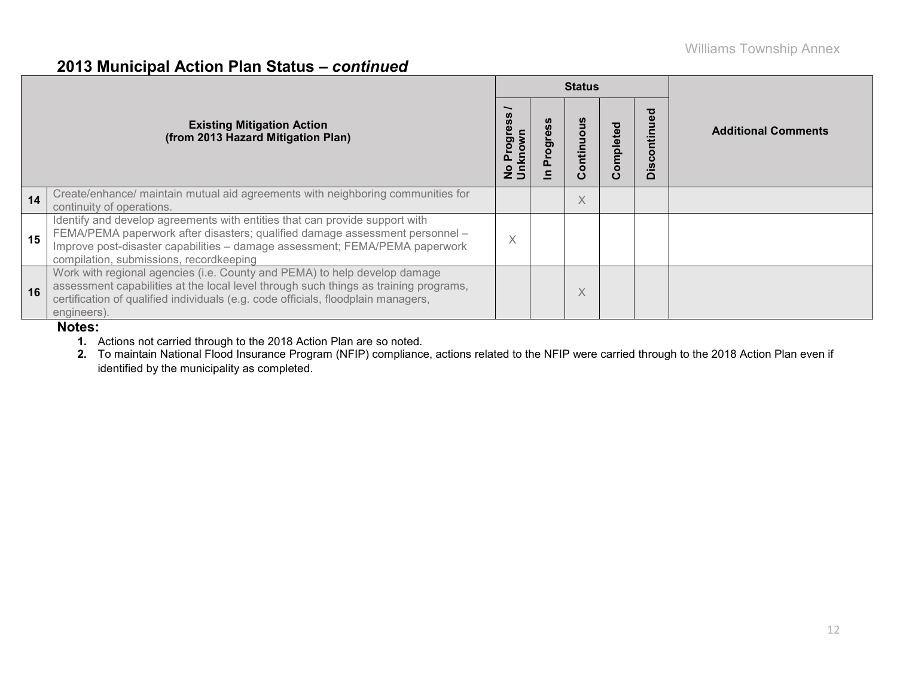### **2013 Municipal Action Plan Status –** *continued*

|                                                                         |                                                                                                                                                                                                                                                                                       |          |  | <b>Status</b>  |              |   |                            |  |  |
|-------------------------------------------------------------------------|---------------------------------------------------------------------------------------------------------------------------------------------------------------------------------------------------------------------------------------------------------------------------------------|----------|--|----------------|--------------|---|----------------------------|--|--|
| <b>Existing Mitigation Action</b><br>(from 2013 Hazard Mitigation Plan) |                                                                                                                                                                                                                                                                                       |          |  | ntin<br>O<br>ပ | omplete<br>Õ | ≏ | <b>Additional Comments</b> |  |  |
| 14                                                                      | Create/enhance/ maintain mutual aid agreements with neighboring communities for<br>continuity of operations.                                                                                                                                                                          |          |  | X              |              |   |                            |  |  |
| 15                                                                      | Identify and develop agreements with entities that can provide support with<br>FEMA/PEMA paperwork after disasters; qualified damage assessment personnel -<br>Improve post-disaster capabilities - damage assessment; FEMA/PEMA paperwork<br>compilation, submissions, recordkeeping | $\times$ |  |                |              |   |                            |  |  |
| 16                                                                      | Work with regional agencies (i.e. County and PEMA) to help develop damage<br>assessment capabilities at the local level through such things as training programs,<br>certification of qualified individuals (e.g. code officials, floodplain managers,<br>engineers).                 |          |  | X              |              |   |                            |  |  |

#### **Notes:**

**1.** Actions not carried through to the 2018 Action Plan are so noted.

**2.** To maintain National Flood Insurance Program (NFIP) compliance, actions related to the NFIP were carried through to the 2018 Action Plan even if identified by the municipality as completed.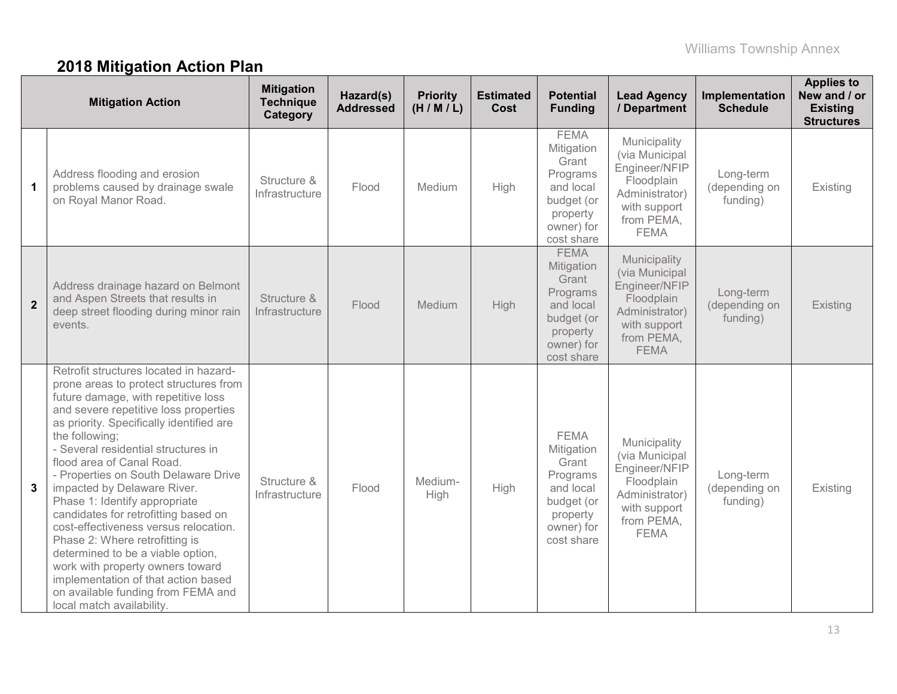# **2018 Mitigation Action Plan**

|                | <b>Mitigation Action</b>                                                                                                                                                                                                                                                                                                                                                                                                                                                                                                                                                                                                                                                                                         | <b>Mitigation</b><br><b>Technique</b><br>Category | Hazard(s)<br><b>Addressed</b> | <b>Priority</b><br>(H/M/L) | <b>Estimated</b><br>Cost | <b>Potential</b><br><b>Funding</b>                                                                                | <b>Lead Agency</b><br>/ Department                                                                                           | Implementation<br><b>Schedule</b>      | <b>Applies to</b><br>New and / or<br><b>Existing</b><br><b>Structures</b> |
|----------------|------------------------------------------------------------------------------------------------------------------------------------------------------------------------------------------------------------------------------------------------------------------------------------------------------------------------------------------------------------------------------------------------------------------------------------------------------------------------------------------------------------------------------------------------------------------------------------------------------------------------------------------------------------------------------------------------------------------|---------------------------------------------------|-------------------------------|----------------------------|--------------------------|-------------------------------------------------------------------------------------------------------------------|------------------------------------------------------------------------------------------------------------------------------|----------------------------------------|---------------------------------------------------------------------------|
| $\mathbf 1$    | Address flooding and erosion<br>problems caused by drainage swale<br>on Royal Manor Road.                                                                                                                                                                                                                                                                                                                                                                                                                                                                                                                                                                                                                        | Structure &<br>Infrastructure                     | Flood                         | Medium                     | High                     | <b>FEMA</b><br>Mitigation<br>Grant<br>Programs<br>and local<br>budget (or<br>property<br>owner) for<br>cost share | Municipality<br>(via Municipal<br>Engineer/NFIP<br>Floodplain<br>Administrator)<br>with support<br>from PEMA,<br><b>FEMA</b> | Long-term<br>(depending on<br>funding) | Existing                                                                  |
| $\overline{2}$ | Address drainage hazard on Belmont<br>and Aspen Streets that results in<br>deep street flooding during minor rain<br>events.                                                                                                                                                                                                                                                                                                                                                                                                                                                                                                                                                                                     | Structure &<br>Infrastructure                     | Flood                         | Medium                     | High                     | <b>FEMA</b><br>Mitigation<br>Grant<br>Programs<br>and local<br>budget (or<br>property<br>owner) for<br>cost share | Municipality<br>(via Municipal<br>Engineer/NFIP<br>Floodplain<br>Administrator)<br>with support<br>from PEMA,<br><b>FEMA</b> | Long-term<br>(depending on<br>funding) | Existing                                                                  |
| 3              | Retrofit structures located in hazard-<br>prone areas to protect structures from<br>future damage, with repetitive loss<br>and severe repetitive loss properties<br>as priority. Specifically identified are<br>the following;<br>- Several residential structures in<br>flood area of Canal Road.<br>- Properties on South Delaware Drive<br>impacted by Delaware River.<br>Phase 1: Identify appropriate<br>candidates for retrofitting based on<br>cost-effectiveness versus relocation.<br>Phase 2: Where retrofitting is<br>determined to be a viable option,<br>work with property owners toward<br>implementation of that action based<br>on available funding from FEMA and<br>local match availability. | Structure &<br>Infrastructure                     | Flood                         | Medium-<br>High            | High                     | <b>FEMA</b><br>Mitigation<br>Grant<br>Programs<br>and local<br>budget (or<br>property<br>owner) for<br>cost share | Municipality<br>(via Municipal<br>Engineer/NFIP<br>Floodplain<br>Administrator)<br>with support<br>from PEMA,<br><b>FEMA</b> | Long-term<br>(depending on<br>funding) | Existing                                                                  |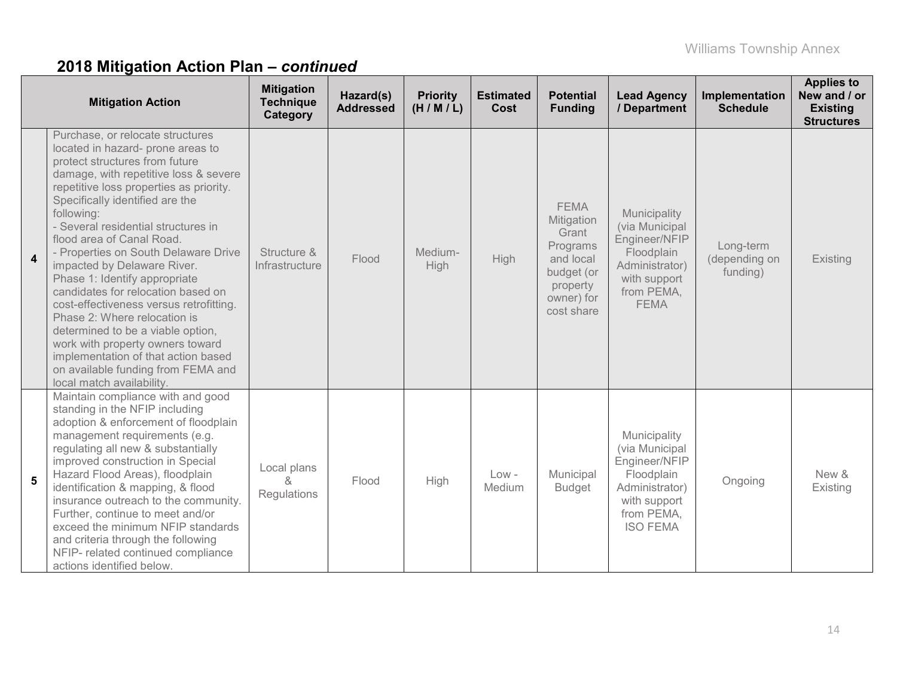|                         | <b>Mitigation Action</b>                                                                                                                                                                                                                                                                                                                                                                                                                                                                                                                                                                                                                                                                                                     | <b>Mitigation</b><br><b>Technique</b><br>Category | Hazard(s)<br><b>Addressed</b> | <b>Priority</b><br>(H/M/L) | <b>Estimated</b><br>Cost | <b>Potential</b><br><b>Funding</b>                                                                                | <b>Lead Agency</b><br>/ Department                                                                                               | Implementation<br><b>Schedule</b>      | <b>Applies to</b><br>New and / or<br><b>Existing</b><br><b>Structures</b> |
|-------------------------|------------------------------------------------------------------------------------------------------------------------------------------------------------------------------------------------------------------------------------------------------------------------------------------------------------------------------------------------------------------------------------------------------------------------------------------------------------------------------------------------------------------------------------------------------------------------------------------------------------------------------------------------------------------------------------------------------------------------------|---------------------------------------------------|-------------------------------|----------------------------|--------------------------|-------------------------------------------------------------------------------------------------------------------|----------------------------------------------------------------------------------------------------------------------------------|----------------------------------------|---------------------------------------------------------------------------|
| $\overline{\mathbf{4}}$ | Purchase, or relocate structures<br>located in hazard- prone areas to<br>protect structures from future<br>damage, with repetitive loss & severe<br>repetitive loss properties as priority.<br>Specifically identified are the<br>following:<br>- Several residential structures in<br>flood area of Canal Road.<br>- Properties on South Delaware Drive<br>impacted by Delaware River.<br>Phase 1: Identify appropriate<br>candidates for relocation based on<br>cost-effectiveness versus retrofitting.<br>Phase 2: Where relocation is<br>determined to be a viable option,<br>work with property owners toward<br>implementation of that action based<br>on available funding from FEMA and<br>local match availability. | Structure &<br>Infrastructure                     | Flood                         | Medium-<br>High            | High                     | <b>FEMA</b><br>Mitigation<br>Grant<br>Programs<br>and local<br>budget (or<br>property<br>owner) for<br>cost share | Municipality<br>(via Municipal<br>Engineer/NFIP<br>Floodplain<br>Administrator)<br>with support<br>from PEMA,<br><b>FEMA</b>     | Long-term<br>(depending on<br>funding) | Existing                                                                  |
| 5                       | Maintain compliance with and good<br>standing in the NFIP including<br>adoption & enforcement of floodplain<br>management requirements (e.g.<br>regulating all new & substantially<br>improved construction in Special<br>Hazard Flood Areas), floodplain<br>identification & mapping, & flood<br>insurance outreach to the community.<br>Further, continue to meet and/or<br>exceed the minimum NFIP standards<br>and criteria through the following<br>NFIP- related continued compliance<br>actions identified below.                                                                                                                                                                                                     | Local plans<br>&<br>Regulations                   | Flood                         | High                       | $Low -$<br>Medium        | Municipal<br><b>Budget</b>                                                                                        | Municipality<br>(via Municipal<br>Engineer/NFIP<br>Floodplain<br>Administrator)<br>with support<br>from PEMA,<br><b>ISO FEMA</b> | Ongoing                                | New &<br>Existing                                                         |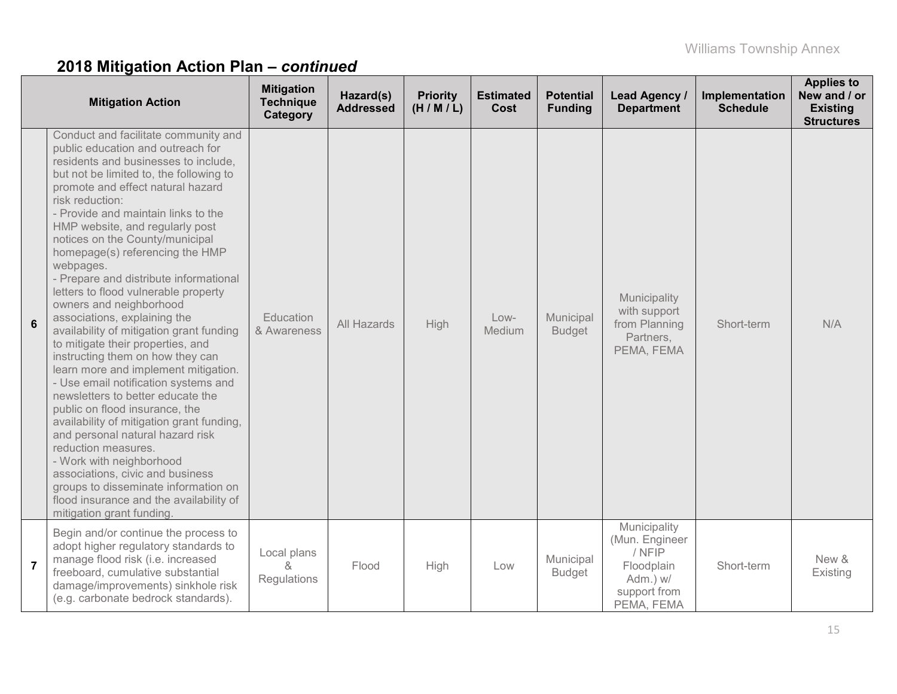|                | <b>Mitigation Action</b>                                                                                                                                                                                                                                                                                                                                                                                                                                                                                                                                                                                                                                                                                                                                                                                                                                                                                                                                                                                                                                                                           | <b>Mitigation</b><br><b>Technique</b><br>Category | Hazard(s)<br><b>Addressed</b> | <b>Priority</b><br>(H/M/L) | <b>Estimated</b><br>Cost | <b>Potential</b><br><b>Funding</b> | Lead Agency /<br><b>Department</b>                                                               | Implementation<br><b>Schedule</b> | <b>Applies to</b><br>New and / or<br><b>Existing</b><br><b>Structures</b> |
|----------------|----------------------------------------------------------------------------------------------------------------------------------------------------------------------------------------------------------------------------------------------------------------------------------------------------------------------------------------------------------------------------------------------------------------------------------------------------------------------------------------------------------------------------------------------------------------------------------------------------------------------------------------------------------------------------------------------------------------------------------------------------------------------------------------------------------------------------------------------------------------------------------------------------------------------------------------------------------------------------------------------------------------------------------------------------------------------------------------------------|---------------------------------------------------|-------------------------------|----------------------------|--------------------------|------------------------------------|--------------------------------------------------------------------------------------------------|-----------------------------------|---------------------------------------------------------------------------|
| 6              | Conduct and facilitate community and<br>public education and outreach for<br>residents and businesses to include,<br>but not be limited to, the following to<br>promote and effect natural hazard<br>risk reduction:<br>- Provide and maintain links to the<br>HMP website, and regularly post<br>notices on the County/municipal<br>homepage(s) referencing the HMP<br>webpages.<br>- Prepare and distribute informational<br>letters to flood vulnerable property<br>owners and neighborhood<br>associations, explaining the<br>availability of mitigation grant funding<br>to mitigate their properties, and<br>instructing them on how they can<br>learn more and implement mitigation.<br>- Use email notification systems and<br>newsletters to better educate the<br>public on flood insurance, the<br>availability of mitigation grant funding,<br>and personal natural hazard risk<br>reduction measures.<br>- Work with neighborhood<br>associations, civic and business<br>groups to disseminate information on<br>flood insurance and the availability of<br>mitigation grant funding. | Education<br>& Awareness                          | All Hazards                   | High                       | $Low-$<br>Medium         | Municipal<br><b>Budget</b>         | Municipality<br>with support<br>from Planning<br>Partners,<br>PEMA, FEMA                         | Short-term                        | N/A                                                                       |
| $\overline{7}$ | Begin and/or continue the process to<br>adopt higher regulatory standards to<br>manage flood risk (i.e. increased<br>freeboard, cumulative substantial<br>damage/improvements) sinkhole risk<br>(e.g. carbonate bedrock standards).                                                                                                                                                                                                                                                                                                                                                                                                                                                                                                                                                                                                                                                                                                                                                                                                                                                                | Local plans<br>$\kappa$<br>Regulations            | Flood                         | High                       | Low                      | Municipal<br><b>Budget</b>         | Municipality<br>(Mun. Engineer<br>/ NFIP<br>Floodplain<br>Adm.) w/<br>support from<br>PEMA, FEMA | Short-term                        | New &<br>Existing                                                         |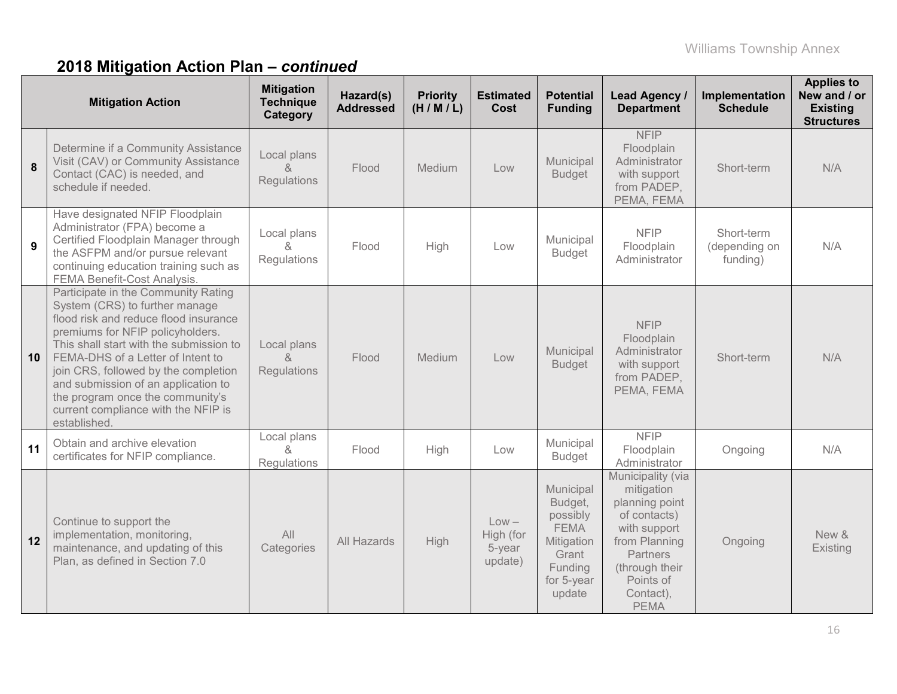|    | <b>Mitigation Action</b>                                                                                                                                                                                                                                                                                                                                                                                     | <b>Mitigation</b><br><b>Technique</b><br>Category | Hazard(s)<br><b>Addressed</b> | <b>Priority</b><br>(H/M/L) | <b>Estimated</b><br><b>Cost</b>           | <b>Potential</b><br><b>Funding</b>                                                                        | <b>Lead Agency /</b><br><b>Department</b>                                                                                                                                 | Implementation<br><b>Schedule</b>       | <b>Applies to</b><br>New and / or<br><b>Existing</b><br><b>Structures</b> |
|----|--------------------------------------------------------------------------------------------------------------------------------------------------------------------------------------------------------------------------------------------------------------------------------------------------------------------------------------------------------------------------------------------------------------|---------------------------------------------------|-------------------------------|----------------------------|-------------------------------------------|-----------------------------------------------------------------------------------------------------------|---------------------------------------------------------------------------------------------------------------------------------------------------------------------------|-----------------------------------------|---------------------------------------------------------------------------|
| 8  | Determine if a Community Assistance<br>Visit (CAV) or Community Assistance<br>Contact (CAC) is needed, and<br>schedule if needed.                                                                                                                                                                                                                                                                            | Local plans<br>$\alpha$<br>Regulations            | Flood                         | Medium                     | Low                                       | Municipal<br><b>Budget</b>                                                                                | <b>NFIP</b><br>Floodplain<br>Administrator<br>with support<br>from PADEP,<br>PEMA, FEMA                                                                                   | Short-term                              | N/A                                                                       |
| 9  | Have designated NFIP Floodplain<br>Administrator (FPA) become a<br>Certified Floodplain Manager through<br>the ASFPM and/or pursue relevant<br>continuing education training such as<br>FEMA Benefit-Cost Analysis.                                                                                                                                                                                          | Local plans<br>&<br>Regulations                   | Flood                         | High                       | Low                                       | Municipal<br><b>Budget</b>                                                                                | <b>NFIP</b><br>Floodplain<br>Administrator                                                                                                                                | Short-term<br>(depending on<br>funding) | N/A                                                                       |
| 10 | Participate in the Community Rating<br>System (CRS) to further manage<br>flood risk and reduce flood insurance<br>premiums for NFIP policyholders.<br>This shall start with the submission to<br>FEMA-DHS of a Letter of Intent to<br>join CRS, followed by the completion<br>and submission of an application to<br>the program once the community's<br>current compliance with the NFIP is<br>established. | Local plans<br>$\delta$<br>Regulations            | Flood                         | Medium                     | Low                                       | Municipal<br><b>Budget</b>                                                                                | <b>NFIP</b><br>Floodplain<br>Administrator<br>with support<br>from PADEP,<br>PEMA, FEMA                                                                                   | Short-term                              | N/A                                                                       |
| 11 | Obtain and archive elevation<br>certificates for NFIP compliance.                                                                                                                                                                                                                                                                                                                                            | Local plans<br>8 <sub>o</sub><br>Regulations      | Flood                         | High                       | Low                                       | Municipal<br><b>Budget</b>                                                                                | <b>NFIP</b><br>Floodplain<br>Administrator                                                                                                                                | Ongoing                                 | N/A                                                                       |
| 12 | Continue to support the<br>implementation, monitoring,<br>maintenance, and updating of this<br>Plan, as defined in Section 7.0                                                                                                                                                                                                                                                                               | All<br>Categories                                 | All Hazards                   | <b>High</b>                | $Low -$<br>High (for<br>5-year<br>update) | Municipal<br>Budget,<br>possibly<br><b>FEMA</b><br>Mitigation<br>Grant<br>Funding<br>for 5-year<br>update | Municipality (via<br>mitigation<br>planning point<br>of contacts)<br>with support<br>from Planning<br>Partners<br>(through their<br>Points of<br>Contact),<br><b>PEMA</b> | Ongoing                                 | New &<br>Existing                                                         |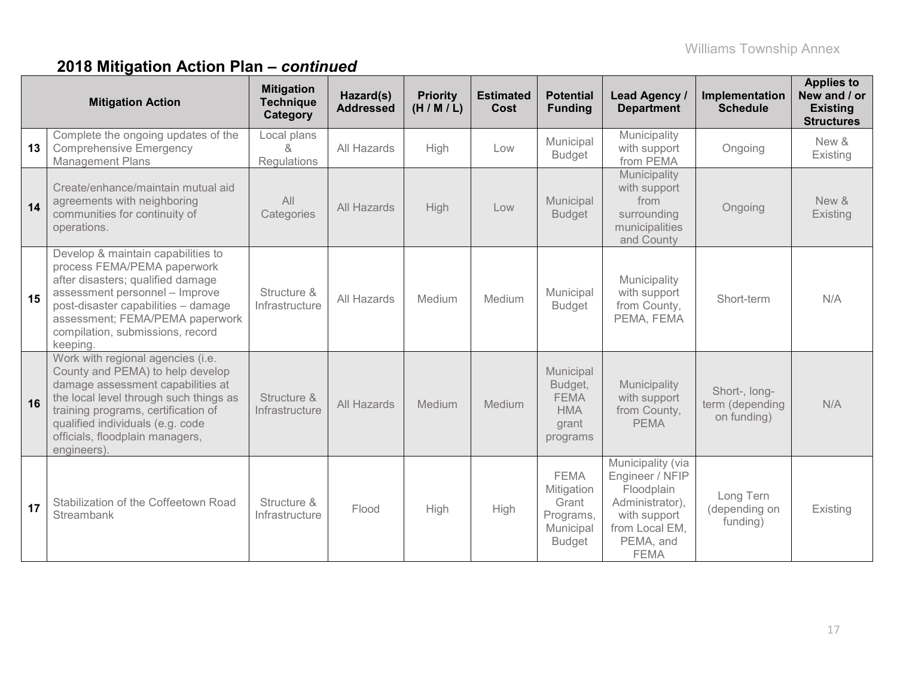|    | <b>Mitigation Action</b>                                                                                                                                                                                                                                                          | <b>Mitigation</b><br><b>Technique</b><br>Category | Hazard(s)<br><b>Addressed</b> | <b>Priority</b><br>(H/M/L) | <b>Estimated</b><br><b>Cost</b> | <b>Potential</b><br><b>Funding</b>                                            | Lead Agency /<br><b>Department</b>                                                                                                  | Implementation<br><b>Schedule</b>               | <b>Applies to</b><br>New and / or<br><b>Existing</b><br><b>Structures</b> |
|----|-----------------------------------------------------------------------------------------------------------------------------------------------------------------------------------------------------------------------------------------------------------------------------------|---------------------------------------------------|-------------------------------|----------------------------|---------------------------------|-------------------------------------------------------------------------------|-------------------------------------------------------------------------------------------------------------------------------------|-------------------------------------------------|---------------------------------------------------------------------------|
| 13 | Complete the ongoing updates of the<br><b>Comprehensive Emergency</b><br><b>Management Plans</b>                                                                                                                                                                                  | Local plans<br>&<br>Regulations                   | All Hazards                   | High                       | Low                             | Municipal<br><b>Budget</b>                                                    | Municipality<br>with support<br>from PEMA                                                                                           | Ongoing                                         | New &<br>Existing                                                         |
| 14 | Create/enhance/maintain mutual aid<br>agreements with neighboring<br>communities for continuity of<br>operations.                                                                                                                                                                 | All<br>Categories                                 | All Hazards                   | High                       | Low                             | Municipal<br><b>Budget</b>                                                    | Municipality<br>with support<br>from<br>surrounding<br>municipalities<br>and County                                                 | Ongoing                                         | New &<br>Existing                                                         |
| 15 | Develop & maintain capabilities to<br>process FEMA/PEMA paperwork<br>after disasters; qualified damage<br>assessment personnel - Improve<br>post-disaster capabilities - damage<br>assessment; FEMA/PEMA paperwork<br>compilation, submissions, record<br>keeping.                | Structure &<br>Infrastructure                     | All Hazards                   | Medium                     | Medium                          | Municipal<br><b>Budget</b>                                                    | Municipality<br>with support<br>from County,<br>PEMA, FEMA                                                                          | Short-term                                      | N/A                                                                       |
| 16 | Work with regional agencies (i.e.<br>County and PEMA) to help develop<br>damage assessment capabilities at<br>the local level through such things as<br>training programs, certification of<br>qualified individuals (e.g. code<br>officials, floodplain managers,<br>engineers). | Structure &<br>Infrastructure                     | All Hazards                   | Medium                     | Medium                          | Municipal<br>Budget,<br><b>FEMA</b><br><b>HMA</b><br>grant<br>programs        | Municipality<br>with support<br>from County,<br><b>PEMA</b>                                                                         | Short-, long-<br>term (depending<br>on funding) | N/A                                                                       |
| 17 | Stabilization of the Coffeetown Road<br>Streambank                                                                                                                                                                                                                                | Structure &<br>Infrastructure                     | Flood                         | High                       | High                            | <b>FEMA</b><br>Mitigation<br>Grant<br>Programs,<br>Municipal<br><b>Budget</b> | Municipality (via<br>Engineer / NFIP<br>Floodplain<br>Administrator),<br>with support<br>from Local EM,<br>PEMA, and<br><b>FEMA</b> | Long Tern<br>(depending on<br>funding)          | Existing                                                                  |